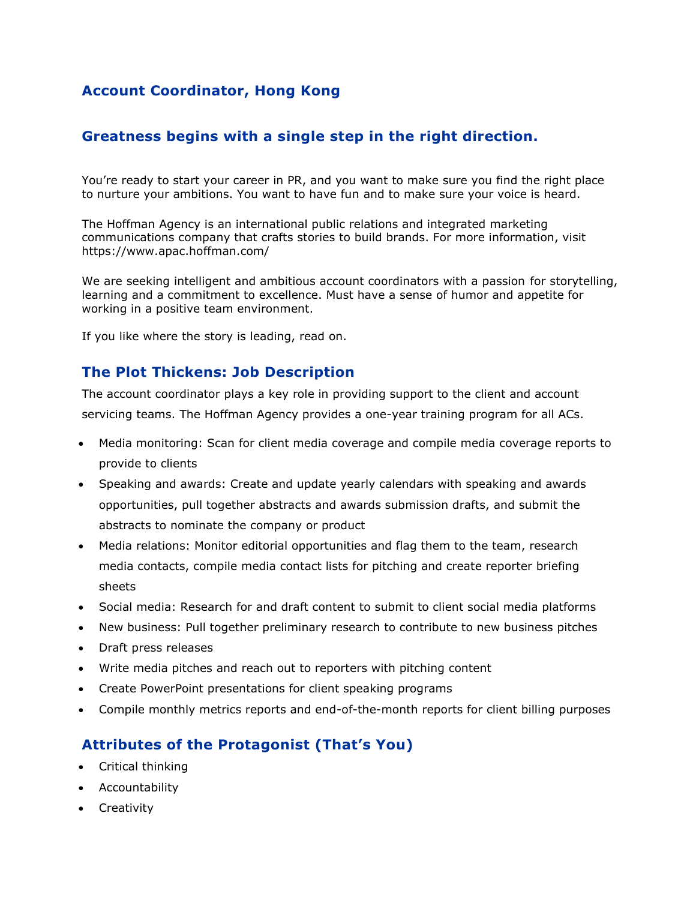## **Account Coordinator, Hong Kong**

### **Greatness begins with a single step in the right direction.**

You're ready to start your career in PR, and you want to make sure you find the right place to nurture your ambitions. You want to have fun and to make sure your voice is heard.

The Hoffman Agency is an international public relations and integrated marketing communications company that crafts stories to build brands. For more information, visit https://www.apac.hoffman.com/

We are seeking intelligent and ambitious account coordinators with a passion for storytelling, learning and a commitment to excellence. Must have a sense of humor and appetite for working in a positive team environment.

If you like where the story is leading, read on.

#### **The Plot Thickens: Job Description**

The account coordinator plays a key role in providing support to the client and account servicing teams. The Hoffman Agency provides a one-year training program for all ACs.

- Media monitoring: Scan for client media coverage and compile media coverage reports to provide to clients
- Speaking and awards: Create and update yearly calendars with speaking and awards opportunities, pull together abstracts and awards submission drafts, and submit the abstracts to nominate the company or product
- Media relations: Monitor editorial opportunities and flag them to the team, research media contacts, compile media contact lists for pitching and create reporter briefing sheets
- Social media: Research for and draft content to submit to client social media platforms
- New business: Pull together preliminary research to contribute to new business pitches
- Draft press releases
- Write media pitches and reach out to reporters with pitching content
- Create PowerPoint presentations for client speaking programs
- Compile monthly metrics reports and end-of-the-month reports for client billing purposes

### **Attributes of the Protagonist (That's You)**

- Critical thinking
- Accountability
- Creativity